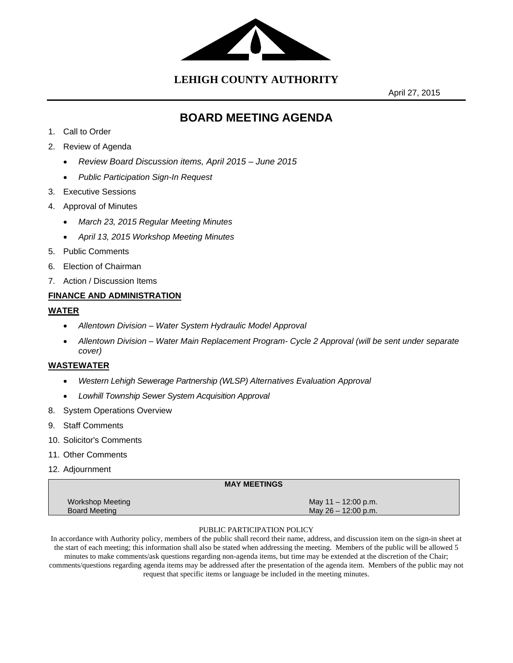

**LEHIGH COUNTY AUTHORITY**

April 27, 2015

# **BOARD MEETING AGENDA**

- 1. Call to Order
- 2. Review of Agenda
	- *Review Board Discussion items, April 2015 June 2015*
	- *Public Participation Sign-In Request*
- 3. Executive Sessions
- 4. Approval of Minutes
	- *March 23, 2015 Regular Meeting Minutes*
	- *April 13, 2015 Workshop Meeting Minutes*
- 5. Public Comments
- 6. Election of Chairman
- 7. Action / Discussion Items

#### **FINANCE AND ADMINISTRATION**

#### **WATER**

- *Allentown Division Water System Hydraulic Model Approval*
- *Allentown Division Water Main Replacement Program- Cycle 2 Approval (will be sent under separate cover)*

#### **WASTEWATER**

- *Western Lehigh Sewerage Partnership (WLSP) Alternatives Evaluation Approval*
- *Lowhill Township Sewer System Acquisition Approval*
- 8. System Operations Overview
- 9. Staff Comments
- 10. Solicitor's Comments
- 11. Other Comments
- 12. Adjournment

|                                                 | <b>MAY MEETINGS</b>                            |  |
|-------------------------------------------------|------------------------------------------------|--|
| <b>Workshop Meeting</b><br><b>Board Meeting</b> | May $11 - 12:00$ p.m.<br>May $26 - 12:00$ p.m. |  |

#### PUBLIC PARTICIPATION POLICY

In accordance with Authority policy, members of the public shall record their name, address, and discussion item on the sign-in sheet at the start of each meeting; this information shall also be stated when addressing the meeting. Members of the public will be allowed 5 minutes to make comments/ask questions regarding non-agenda items, but time may be extended at the discretion of the Chair; comments/questions regarding agenda items may be addressed after the presentation of the agenda item. Members of the public may not request that specific items or language be included in the meeting minutes.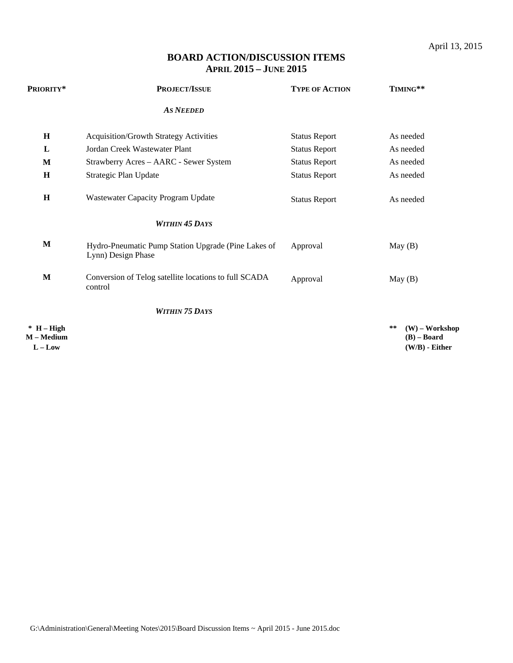# **BOARD ACTION/DISCUSSION ITEMS APRIL 2015 – JUNE 2015**

| PRIORITY*                               | PROJECT/ISSUE                                                             | <b>TYPE OF ACTION</b> | TIMING**                                                    |
|-----------------------------------------|---------------------------------------------------------------------------|-----------------------|-------------------------------------------------------------|
|                                         | <b>AS NEEDED</b>                                                          |                       |                                                             |
| $\mathbf H$                             | <b>Acquisition/Growth Strategy Activities</b>                             | <b>Status Report</b>  | As needed                                                   |
| L                                       | Jordan Creek Wastewater Plant                                             | <b>Status Report</b>  | As needed                                                   |
| M                                       | Strawberry Acres - AARC - Sewer System                                    | <b>Status Report</b>  | As needed                                                   |
| $\mathbf H$                             | Strategic Plan Update                                                     | <b>Status Report</b>  | As needed                                                   |
| $\mathbf H$                             | Wastewater Capacity Program Update                                        | <b>Status Report</b>  | As needed                                                   |
|                                         | <b>WITHIN 45 DAYS</b>                                                     |                       |                                                             |
| $\mathbf M$                             | Hydro-Pneumatic Pump Station Upgrade (Pine Lakes of<br>Lynn) Design Phase | Approval              | May(B)                                                      |
| M                                       | Conversion of Telog satellite locations to full SCADA<br>control          | Approval              | May(B)                                                      |
|                                         | <b>WITHIN 75 DAYS</b>                                                     |                       |                                                             |
| $*$ H – High<br>M – Medium<br>$L - Low$ |                                                                           |                       | **<br>$(W)$ – Workshop<br>$(B)$ – Board<br>$(W/B)$ - Either |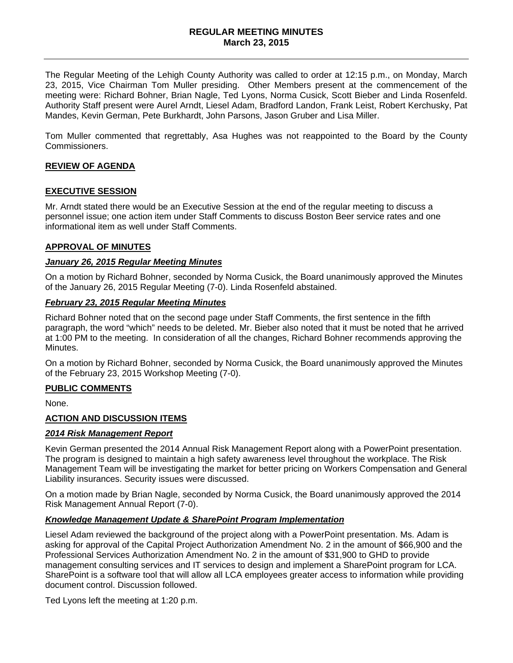#### **REGULAR MEETING MINUTES March 23, 2015**

The Regular Meeting of the Lehigh County Authority was called to order at 12:15 p.m., on Monday, March 23, 2015, Vice Chairman Tom Muller presiding. Other Members present at the commencement of the meeting were: Richard Bohner, Brian Nagle, Ted Lyons, Norma Cusick, Scott Bieber and Linda Rosenfeld. Authority Staff present were Aurel Arndt, Liesel Adam, Bradford Landon, Frank Leist, Robert Kerchusky, Pat Mandes, Kevin German, Pete Burkhardt, John Parsons, Jason Gruber and Lisa Miller.

Tom Muller commented that regrettably, Asa Hughes was not reappointed to the Board by the County Commissioners.

# **REVIEW OF AGENDA**

#### **EXECUTIVE SESSION**

Mr. Arndt stated there would be an Executive Session at the end of the regular meeting to discuss a personnel issue; one action item under Staff Comments to discuss Boston Beer service rates and one informational item as well under Staff Comments.

#### **APPROVAL OF MINUTES**

#### *January 26, 2015 Regular Meeting Minutes*

On a motion by Richard Bohner, seconded by Norma Cusick, the Board unanimously approved the Minutes of the January 26, 2015 Regular Meeting (7-0). Linda Rosenfeld abstained.

#### *February 23, 2015 Regular Meeting Minutes*

Richard Bohner noted that on the second page under Staff Comments, the first sentence in the fifth paragraph, the word "which" needs to be deleted. Mr. Bieber also noted that it must be noted that he arrived at 1:00 PM to the meeting. In consideration of all the changes, Richard Bohner recommends approving the Minutes.

On a motion by Richard Bohner, seconded by Norma Cusick, the Board unanimously approved the Minutes of the February 23, 2015 Workshop Meeting (7-0).

#### **PUBLIC COMMENTS**

None.

#### **ACTION AND DISCUSSION ITEMS**

#### *2014 Risk Management Report*

Kevin German presented the 2014 Annual Risk Management Report along with a PowerPoint presentation. The program is designed to maintain a high safety awareness level throughout the workplace. The Risk Management Team will be investigating the market for better pricing on Workers Compensation and General Liability insurances. Security issues were discussed.

On a motion made by Brian Nagle, seconded by Norma Cusick, the Board unanimously approved the 2014 Risk Management Annual Report (7-0).

#### *Knowledge Management Update & SharePoint Program Implementation*

Liesel Adam reviewed the background of the project along with a PowerPoint presentation. Ms. Adam is asking for approval of the Capital Project Authorization Amendment No. 2 in the amount of \$66,900 and the Professional Services Authorization Amendment No. 2 in the amount of \$31,900 to GHD to provide management consulting services and IT services to design and implement a SharePoint program for LCA. SharePoint is a software tool that will allow all LCA employees greater access to information while providing document control. Discussion followed.

Ted Lyons left the meeting at 1:20 p.m.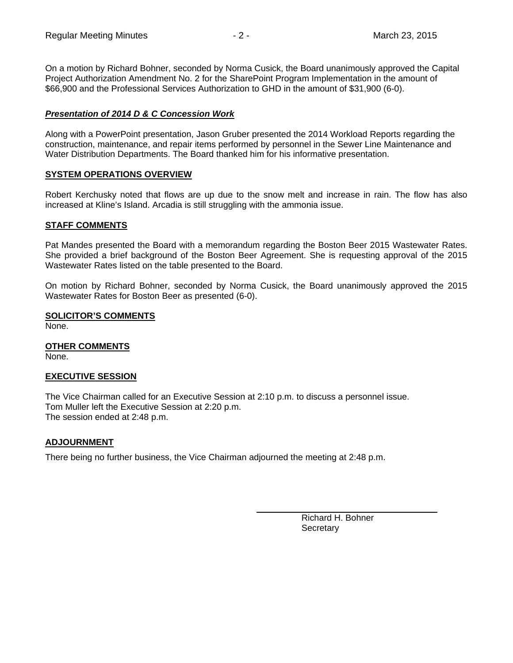On a motion by Richard Bohner, seconded by Norma Cusick, the Board unanimously approved the Capital Project Authorization Amendment No. 2 for the SharePoint Program Implementation in the amount of \$66,900 and the Professional Services Authorization to GHD in the amount of \$31,900 (6-0).

### *Presentation of 2014 D & C Concession Work*

Along with a PowerPoint presentation, Jason Gruber presented the 2014 Workload Reports regarding the construction, maintenance, and repair items performed by personnel in the Sewer Line Maintenance and Water Distribution Departments. The Board thanked him for his informative presentation.

#### **SYSTEM OPERATIONS OVERVIEW**

Robert Kerchusky noted that flows are up due to the snow melt and increase in rain. The flow has also increased at Kline's Island. Arcadia is still struggling with the ammonia issue.

#### **STAFF COMMENTS**

Pat Mandes presented the Board with a memorandum regarding the Boston Beer 2015 Wastewater Rates. She provided a brief background of the Boston Beer Agreement. She is requesting approval of the 2015 Wastewater Rates listed on the table presented to the Board.

On motion by Richard Bohner, seconded by Norma Cusick, the Board unanimously approved the 2015 Wastewater Rates for Boston Beer as presented (6-0).

#### **SOLICITOR'S COMMENTS**

None.

**OTHER COMMENTS** 

None.

#### **EXECUTIVE SESSION**

The Vice Chairman called for an Executive Session at 2:10 p.m. to discuss a personnel issue. Tom Muller left the Executive Session at 2:20 p.m. The session ended at 2:48 p.m.

#### **ADJOURNMENT**

There being no further business, the Vice Chairman adjourned the meeting at 2:48 p.m.

 Richard H. Bohner **Secretary**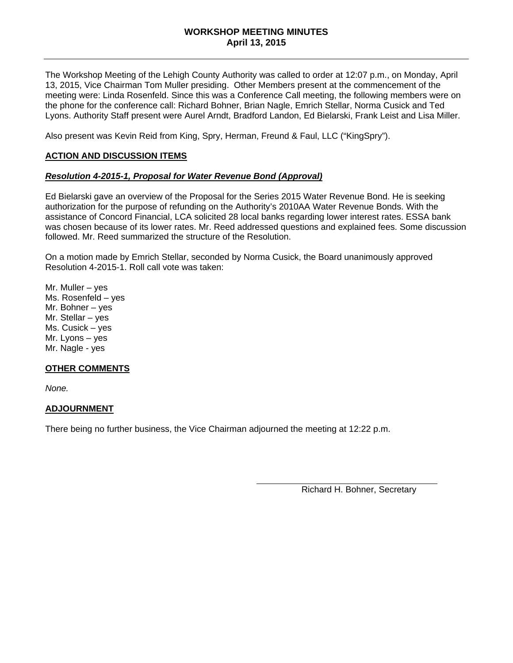#### **WORKSHOP MEETING MINUTES April 13, 2015**

The Workshop Meeting of the Lehigh County Authority was called to order at 12:07 p.m., on Monday, April 13, 2015, Vice Chairman Tom Muller presiding. Other Members present at the commencement of the meeting were: Linda Rosenfeld. Since this was a Conference Call meeting, the following members were on the phone for the conference call: Richard Bohner, Brian Nagle, Emrich Stellar, Norma Cusick and Ted Lyons. Authority Staff present were Aurel Arndt, Bradford Landon, Ed Bielarski, Frank Leist and Lisa Miller.

Also present was Kevin Reid from King, Spry, Herman, Freund & Faul, LLC ("KingSpry").

#### **ACTION AND DISCUSSION ITEMS**

#### *Resolution 4-2015-1, Proposal for Water Revenue Bond (Approval)*

Ed Bielarski gave an overview of the Proposal for the Series 2015 Water Revenue Bond. He is seeking authorization for the purpose of refunding on the Authority's 2010AA Water Revenue Bonds. With the assistance of Concord Financial, LCA solicited 28 local banks regarding lower interest rates. ESSA bank was chosen because of its lower rates. Mr. Reed addressed questions and explained fees. Some discussion followed. Mr. Reed summarized the structure of the Resolution.

On a motion made by Emrich Stellar, seconded by Norma Cusick, the Board unanimously approved Resolution 4-2015-1. Roll call vote was taken:

Mr. Muller – yes Ms. Rosenfeld – yes Mr. Bohner – yes Mr. Stellar – yes Ms. Cusick – yes Mr. Lyons – yes Mr. Nagle - yes

#### **OTHER COMMENTS**

*None.* 

#### **ADJOURNMENT**

There being no further business, the Vice Chairman adjourned the meeting at 12:22 p.m.

Richard H. Bohner, Secretary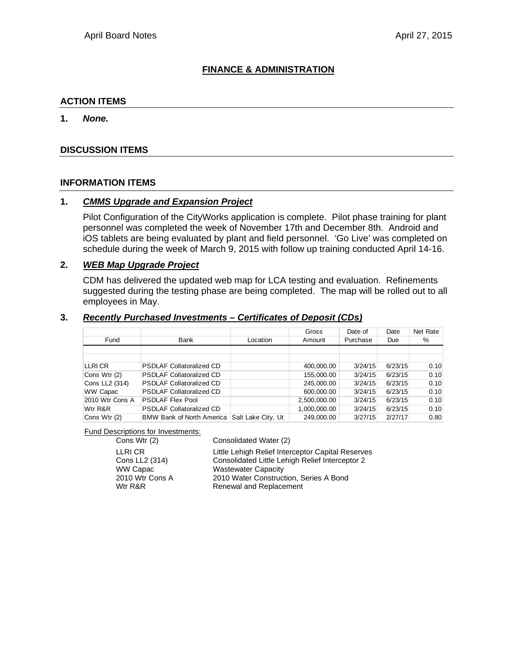# **FINANCE & ADMINISTRATION**

### **ACTION ITEMS**

#### **1.** *None.*

#### **DISCUSSION ITEMS**

#### **INFORMATION ITEMS**

#### **1.** *CMMS Upgrade and Expansion Project*

Pilot Configuration of the CityWorks application is complete. Pilot phase training for plant personnel was completed the week of November 17th and December 8th. Android and iOS tablets are being evaluated by plant and field personnel. 'Go Live' was completed on schedule during the week of March 9, 2015 with follow up training conducted April 14-16.

#### **2.** *WEB Map Upgrade Project*

CDM has delivered the updated web map for LCA testing and evaluation. Refinements suggested during the testing phase are being completed. The map will be rolled out to all employees in May.

#### **3.** *Recently Purchased Investments – Certificates of Deposit (CDs)*

|                 |                                  |                    | Gross        | Date of  | Date    | Net Rate |
|-----------------|----------------------------------|--------------------|--------------|----------|---------|----------|
| Fund            | Bank                             | Location           | Amount       | Purchase | Due     | %        |
|                 |                                  |                    |              |          |         |          |
|                 |                                  |                    |              |          |         |          |
| LLRI CR         | <b>PSDLAF Collatoralized CD</b>  |                    | 400,000.00   | 3/24/15  | 6/23/15 | 0.10     |
| Cons Wtr (2)    | <b>PSDLAF Collatoralized CD</b>  |                    | 155,000.00   | 3/24/15  | 6/23/15 | 0.10     |
| Cons LL2 (314)  | <b>PSDLAF Collatoralized CD</b>  |                    | 245.000.00   | 3/24/15  | 6/23/15 | 0.10     |
| <b>WW Capac</b> | <b>PSDLAF Collatoralized CD</b>  |                    | 600,000.00   | 3/24/15  | 6/23/15 | 0.10     |
| 2010 Wtr Cons A | <b>PSDLAF Flex Pool</b>          |                    | 2,500,000.00 | 3/24/15  | 6/23/15 | 0.10     |
| Wtr R&R         | <b>PSDLAF Collatoralized CD</b>  |                    | 1,000,000.00 | 3/24/15  | 6/23/15 | 0.10     |
| Cons Wtr (2)    | <b>BMW Bank of North America</b> | Salt Lake City, Ut | 249,000.00   | 3/27/15  | 2/27/17 | 0.80     |

#### Fund Descriptions for Investments:

Cons Wtr (2) Consolidated Water (2)

LLRI CR Little Lehigh Relief Interceptor Capital Reserves<br>
Cons LL2 (314) Consolidated Little Lehigh Relief Interceptor 2 Consolidated Little Lehigh Relief Interceptor 2 WW Capac Wastewater Capacity 2010 Wtr Cons A 2010 Water Construction, Series A Bond Wtr R&R Renewal and Replacement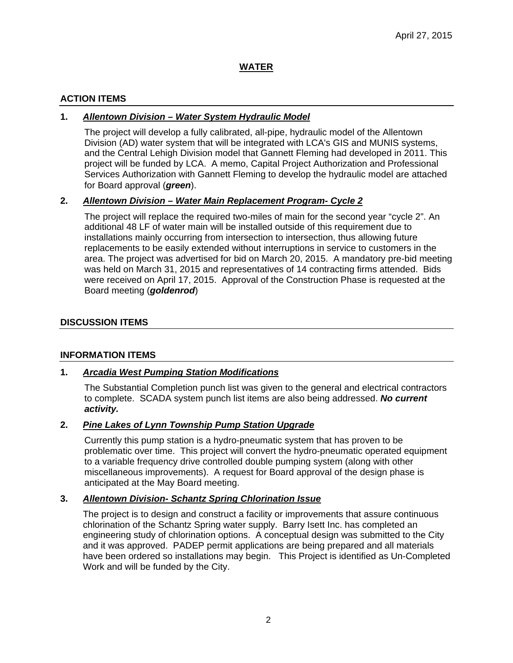# **WATER**

# **ACTION ITEMS**

# **1.** *Allentown Division – Water System Hydraulic Model*

The project will develop a fully calibrated, all-pipe, hydraulic model of the Allentown Division (AD) water system that will be integrated with LCA's GIS and MUNIS systems, and the Central Lehigh Division model that Gannett Fleming had developed in 2011. This project will be funded by LCA. A memo, Capital Project Authorization and Professional Services Authorization with Gannett Fleming to develop the hydraulic model are attached for Board approval (*green*).

#### **2.** *Allentown Division – Water Main Replacement Program- Cycle 2*

The project will replace the required two-miles of main for the second year "cycle 2". An additional 48 LF of water main will be installed outside of this requirement due to installations mainly occurring from intersection to intersection, thus allowing future replacements to be easily extended without interruptions in service to customers in the area. The project was advertised for bid on March 20, 2015. A mandatory pre-bid meeting was held on March 31, 2015 and representatives of 14 contracting firms attended. Bids were received on April 17, 2015. Approval of the Construction Phase is requested at the Board meeting (*goldenrod*)

#### **DISCUSSION ITEMS**

#### **INFORMATION ITEMS**

# **1.** *Arcadia West Pumping Station Modifications*

The Substantial Completion punch list was given to the general and electrical contractors to complete. SCADA system punch list items are also being addressed. *No current activity.*

#### **2.** *Pine Lakes of Lynn Township Pump Station Upgrade*

Currently this pump station is a hydro-pneumatic system that has proven to be problematic over time. This project will convert the hydro-pneumatic operated equipment to a variable frequency drive controlled double pumping system (along with other miscellaneous improvements). A request for Board approval of the design phase is anticipated at the May Board meeting.

#### **3.** *Allentown Division- Schantz Spring Chlorination Issue*

The project is to design and construct a facility or improvements that assure continuous chlorination of the Schantz Spring water supply. Barry Isett Inc. has completed an engineering study of chlorination options. A conceptual design was submitted to the City and it was approved. PADEP permit applications are being prepared and all materials have been ordered so installations may begin. This Project is identified as Un-Completed Work and will be funded by the City.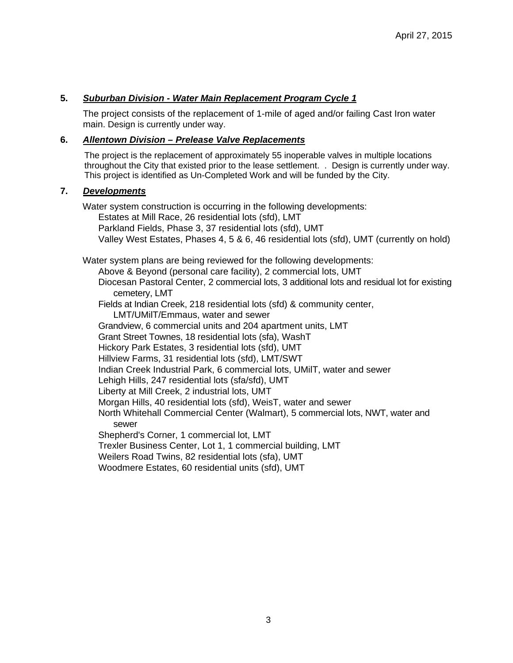### **5.** *Suburban Division - Water Main Replacement Program Cycle 1*

The project consists of the replacement of 1-mile of aged and/or failing Cast Iron water main. Design is currently under way.

#### **6.** *Allentown Division – Prelease Valve Replacements*

The project is the replacement of approximately 55 inoperable valves in multiple locations throughout the City that existed prior to the lease settlement. . Design is currently under way. This project is identified as Un-Completed Work and will be funded by the City.

#### **7.** *Developments*

Water system construction is occurring in the following developments: Estates at Mill Race, 26 residential lots (sfd), LMT Parkland Fields, Phase 3, 37 residential lots (sfd), UMT Valley West Estates, Phases 4, 5 & 6, 46 residential lots (sfd), UMT (currently on hold)

Water system plans are being reviewed for the following developments: Above & Beyond (personal care facility), 2 commercial lots, UMT Diocesan Pastoral Center, 2 commercial lots, 3 additional lots and residual lot for existing cemetery, LMT Fields at Indian Creek, 218 residential lots (sfd) & community center, LMT/UMilT/Emmaus, water and sewer Grandview, 6 commercial units and 204 apartment units, LMT Grant Street Townes, 18 residential lots (sfa), WashT Hickory Park Estates, 3 residential lots (sfd), UMT Hillview Farms, 31 residential lots (sfd), LMT/SWT Indian Creek Industrial Park, 6 commercial lots, UMilT, water and sewer Lehigh Hills, 247 residential lots (sfa/sfd), UMT Liberty at Mill Creek, 2 industrial lots, UMT Morgan Hills, 40 residential lots (sfd), WeisT, water and sewer North Whitehall Commercial Center (Walmart), 5 commercial lots, NWT, water and sewer Shepherd's Corner, 1 commercial lot, LMT Trexler Business Center, Lot 1, 1 commercial building, LMT Weilers Road Twins, 82 residential lots (sfa), UMT Woodmere Estates, 60 residential units (sfd), UMT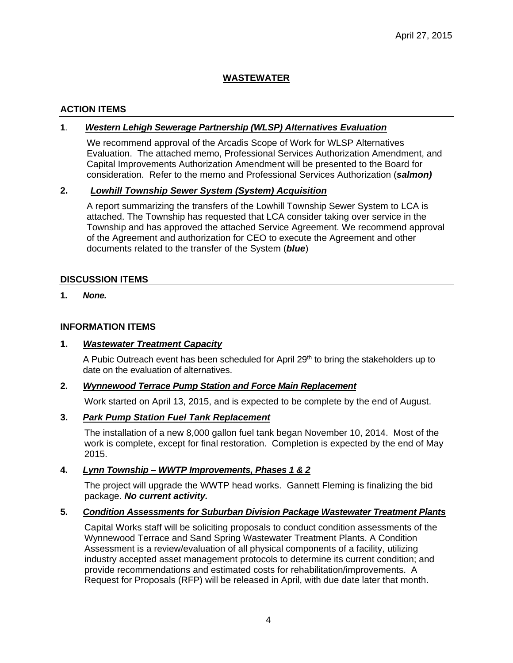# **WASTEWATER**

# **ACTION ITEMS**

### **1**. *Western Lehigh Sewerage Partnership (WLSP) Alternatives Evaluation*

We recommend approval of the Arcadis Scope of Work for WLSP Alternatives Evaluation. The attached memo, Professional Services Authorization Amendment, and Capital Improvements Authorization Amendment will be presented to the Board for consideration. Refer to the memo and Professional Services Authorization (*salmon)* 

# **2.** *Lowhill Township Sewer System (System) Acquisition*

A report summarizing the transfers of the Lowhill Township Sewer System to LCA is attached. The Township has requested that LCA consider taking over service in the Township and has approved the attached Service Agreement. We recommend approval of the Agreement and authorization for CEO to execute the Agreement and other documents related to the transfer of the System (*blue*)

#### **DISCUSSION ITEMS**

**1.** *None.*

#### **INFORMATION ITEMS**

#### **1.** *Wastewater Treatment Capacity*

A Pubic Outreach event has been scheduled for April 29<sup>th</sup> to bring the stakeholders up to date on the evaluation of alternatives.

#### **2.** *Wynnewood Terrace Pump Station and Force Main Replacement*

Work started on April 13, 2015, and is expected to be complete by the end of August.

#### **3.** *Park Pump Station Fuel Tank Replacement*

The installation of a new 8,000 gallon fuel tank began November 10, 2014. Most of the work is complete, except for final restoration. Completion is expected by the end of May 2015.

# **4.** *Lynn Township – WWTP Improvements, Phases 1 & 2*

The project will upgrade the WWTP head works. Gannett Fleming is finalizing the bid package. *No current activity.*

#### **5.** *Condition Assessments for Suburban Division Package Wastewater Treatment Plants*

Capital Works staff will be soliciting proposals to conduct condition assessments of the Wynnewood Terrace and Sand Spring Wastewater Treatment Plants. A Condition Assessment is a review/evaluation of all physical components of a facility, utilizing industry accepted asset management protocols to determine its current condition; and provide recommendations and estimated costs for rehabilitation/improvements. A Request for Proposals (RFP) will be released in April, with due date later that month.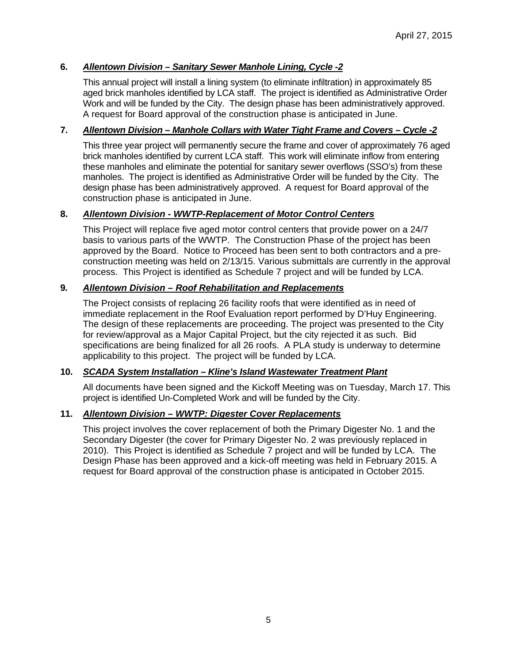# **6.** *Allentown Division – Sanitary Sewer Manhole Lining, Cycle -2*

This annual project will install a lining system (to eliminate infiltration) in approximately 85 aged brick manholes identified by LCA staff. The project is identified as Administrative Order Work and will be funded by the City. The design phase has been administratively approved. A request for Board approval of the construction phase is anticipated in June.

### **7.** *Allentown Division – Manhole Collars with Water Tight Frame and Covers – Cycle -2*

This three year project will permanently secure the frame and cover of approximately 76 aged brick manholes identified by current LCA staff. This work will eliminate inflow from entering these manholes and eliminate the potential for sanitary sewer overflows (SSO's) from these manholes. The project is identified as Administrative Order will be funded by the City. The design phase has been administratively approved. A request for Board approval of the construction phase is anticipated in June.

# **8.** *Allentown Division - WWTP-Replacement of Motor Control Centers*

This Project will replace five aged motor control centers that provide power on a 24/7 basis to various parts of the WWTP. The Construction Phase of the project has been approved by the Board. Notice to Proceed has been sent to both contractors and a preconstruction meeting was held on 2/13/15. Various submittals are currently in the approval process. This Project is identified as Schedule 7 project and will be funded by LCA.

#### **9***. Allentown Division – Roof Rehabilitation and Replacements*

The Project consists of replacing 26 facility roofs that were identified as in need of immediate replacement in the Roof Evaluation report performed by D'Huy Engineering. The design of these replacements are proceeding. The project was presented to the City for review/approval as a Major Capital Project, but the city rejected it as such. Bid specifications are being finalized for all 26 roofs. A PLA study is underway to determine applicability to this project. The project will be funded by LCA.

#### **10.** *SCADA System Installation – Kline's Island Wastewater Treatment Plant*

All documents have been signed and the Kickoff Meeting was on Tuesday, March 17. This project is identified Un-Completed Work and will be funded by the City.

#### **11.** *Allentown Division – WWTP: Digester Cover Replacements*

This project involves the cover replacement of both the Primary Digester No. 1 and the Secondary Digester (the cover for Primary Digester No. 2 was previously replaced in 2010). This Project is identified as Schedule 7 project and will be funded by LCA. The Design Phase has been approved and a kick-off meeting was held in February 2015. A request for Board approval of the construction phase is anticipated in October 2015.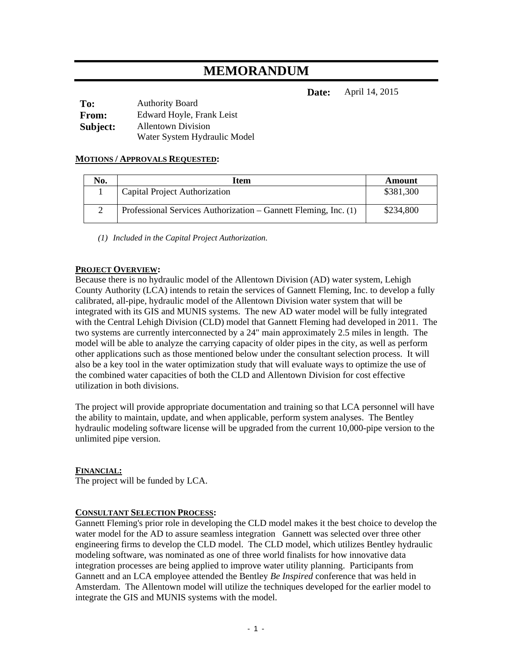# **MEMORANDUM**

**Date:** April 14, 2015

| To:          | <b>Authority Board</b>       |
|--------------|------------------------------|
| <b>From:</b> | Edward Hoyle, Frank Leist    |
| Subject:     | <b>Allentown Division</b>    |
|              | Water System Hydraulic Model |

#### **MOTIONS / APPROVALS REQUESTED:**

| No. | Item                                                            | Amount    |
|-----|-----------------------------------------------------------------|-----------|
|     | Capital Project Authorization                                   | \$381,300 |
|     | Professional Services Authorization – Gannett Fleming, Inc. (1) | \$234,800 |

*(1) Included in the Capital Project Authorization.* 

#### **PROJECT OVERVIEW:**

Because there is no hydraulic model of the Allentown Division (AD) water system, Lehigh County Authority (LCA) intends to retain the services of Gannett Fleming, Inc. to develop a fully calibrated, all-pipe, hydraulic model of the Allentown Division water system that will be integrated with its GIS and MUNIS systems. The new AD water model will be fully integrated with the Central Lehigh Division (CLD) model that Gannett Fleming had developed in 2011. The two systems are currently interconnected by a 24" main approximately 2.5 miles in length. The model will be able to analyze the carrying capacity of older pipes in the city, as well as perform other applications such as those mentioned below under the consultant selection process. It will also be a key tool in the water optimization study that will evaluate ways to optimize the use of the combined water capacities of both the CLD and Allentown Division for cost effective utilization in both divisions.

The project will provide appropriate documentation and training so that LCA personnel will have the ability to maintain, update, and when applicable, perform system analyses. The Bentley hydraulic modeling software license will be upgraded from the current 10,000-pipe version to the unlimited pipe version.

#### **FINANCIAL:**

The project will be funded by LCA.

#### **CONSULTANT SELECTION PROCESS:**

Gannett Fleming's prior role in developing the CLD model makes it the best choice to develop the water model for the AD to assure seamless integration Gannett was selected over three other engineering firms to develop the CLD model. The CLD model, which utilizes Bentley hydraulic modeling software, was nominated as one of three world finalists for how innovative data integration processes are being applied to improve water utility planning. Participants from Gannett and an LCA employee attended the Bentley *Be Inspired* conference that was held in Amsterdam. The Allentown model will utilize the techniques developed for the earlier model to integrate the GIS and MUNIS systems with the model.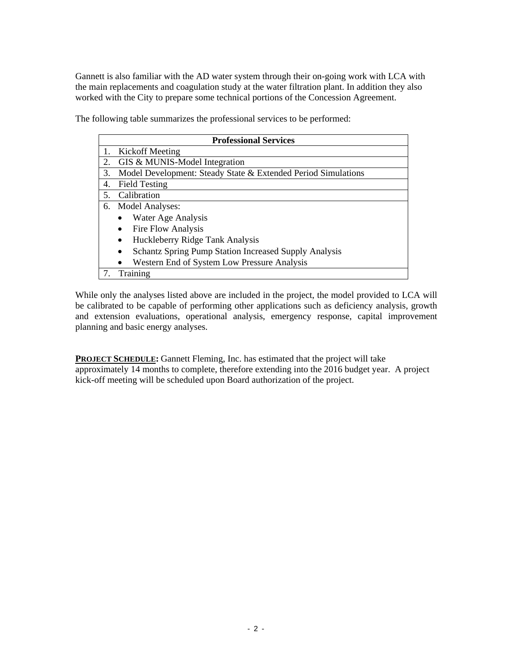Gannett is also familiar with the AD water system through their on-going work with LCA with the main replacements and coagulation study at the water filtration plant. In addition they also worked with the City to prepare some technical portions of the Concession Agreement.

The following table summarizes the professional services to be performed:

|    | <b>Professional Services</b>                                  |
|----|---------------------------------------------------------------|
|    | Kickoff Meeting                                               |
| 2. | GIS & MUNIS-Model Integration                                 |
| 3. | Model Development: Steady State & Extended Period Simulations |
| 4. | <b>Field Testing</b>                                          |
| 5. | Calibration                                                   |
| 6. | Model Analyses:                                               |
|    | Water Age Analysis                                            |
|    | Fire Flow Analysis                                            |
|    | Huckleberry Ridge Tank Analysis                               |
|    | <b>Schantz Spring Pump Station Increased Supply Analysis</b>  |
|    | Western End of System Low Pressure Analysis                   |
| 7. | Training                                                      |

While only the analyses listed above are included in the project, the model provided to LCA will be calibrated to be capable of performing other applications such as deficiency analysis, growth and extension evaluations, operational analysis, emergency response, capital improvement planning and basic energy analyses.

**PROJECT SCHEDULE:** Gannett Fleming, Inc. has estimated that the project will take approximately 14 months to complete, therefore extending into the 2016 budget year. A project kick-off meeting will be scheduled upon Board authorization of the project.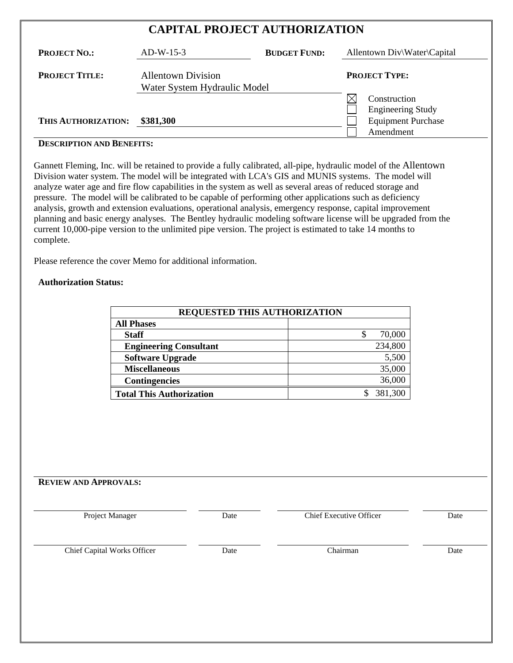# **CAPITAL PROJECT AUTHORIZATION**

| <b>PROJECT NO.:</b>   | $AD-W-15-3$                                               | <b>BUDGET FUND:</b> | Allentown Div\Water\Capital                                           |
|-----------------------|-----------------------------------------------------------|---------------------|-----------------------------------------------------------------------|
| <b>PROJECT TITLE:</b> | <b>Allentown Division</b><br>Water System Hydraulic Model |                     | <b>PROJECT TYPE:</b>                                                  |
| THIS AUTHORIZATION:   | \$381,300                                                 |                     | Construction<br><b>Engineering Study</b><br><b>Equipment Purchase</b> |
|                       |                                                           |                     | Amendment                                                             |

# **DESCRIPTION AND BENEFITS:**

Gannett Fleming, Inc. will be retained to provide a fully calibrated, all-pipe, hydraulic model of the Allentown Division water system. The model will be integrated with LCA's GIS and MUNIS systems. The model will analyze water age and fire flow capabilities in the system as well as several areas of reduced storage and pressure. The model will be calibrated to be capable of performing other applications such as deficiency analysis, growth and extension evaluations, operational analysis, emergency response, capital improvement planning and basic energy analyses. The Bentley hydraulic modeling software license will be upgraded from the current 10,000-pipe version to the unlimited pipe version. The project is estimated to take 14 months to complete.

Please reference the cover Memo for additional information.

#### **Authorization Status:**

| <b>REQUESTED THIS AUTHORIZATION</b> |         |
|-------------------------------------|---------|
| <b>All Phases</b>                   |         |
| <b>Staff</b>                        | 70,000  |
| <b>Engineering Consultant</b>       | 234,800 |
| <b>Software Upgrade</b>             | 5,500   |
| <b>Miscellaneous</b>                | 35,000  |
| <b>Contingencies</b>                | 36,000  |
| <b>Total This Authorization</b>     | 381,300 |

#### **REVIEW AND APPROVALS:**

Project Manager Date Date Chief Executive Officer Date

| <b>Chief Capital Works Officer</b> | Jate | ∟`hairmar | Date |
|------------------------------------|------|-----------|------|
|------------------------------------|------|-----------|------|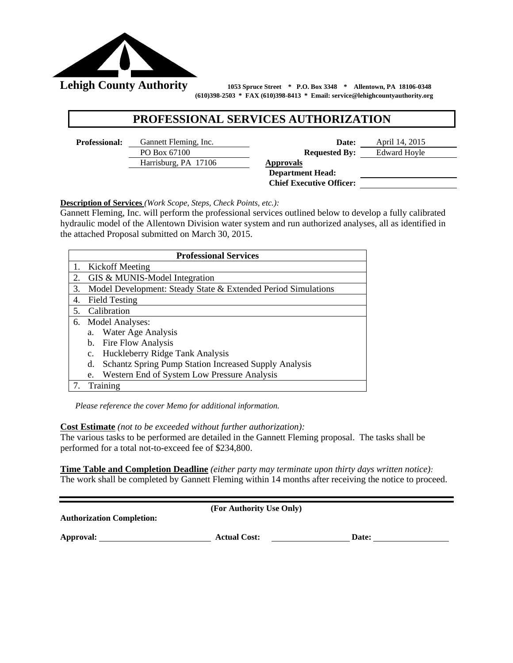

 **(610)398-2503 \* FAX (610)398-8413 \* Email: service@lehighcountyauthority.org** 

# **PROFESSIONAL SERVICES AUTHORIZATION**

Harrisburg, PA 17106 **Approvals** 

**Professional:** Gannett Fleming, Inc. **Date:** April 14, 2015 PO Box 67100 **Requested By:** Edward Hoyle

 **Department Head: Chief Executive Officer:** 

**Description of Services** *(Work Scope, Steps, Check Points, etc.):*

Gannett Fleming, Inc. will perform the professional services outlined below to develop a fully calibrated hydraulic model of the Allentown Division water system and run authorized analyses, all as identified in the attached Proposal submitted on March 30, 2015.

|    | <b>Professional Services</b>                                       |
|----|--------------------------------------------------------------------|
|    | Kickoff Meeting                                                    |
| 2. | GIS & MUNIS-Model Integration                                      |
| 3. | Model Development: Steady State & Extended Period Simulations      |
| 4. | <b>Field Testing</b>                                               |
| 5. | Calibration                                                        |
| 6. | <b>Model Analyses:</b>                                             |
|    | Water Age Analysis<br>a.                                           |
|    | <b>Fire Flow Analysis</b><br>b.                                    |
|    | Huckleberry Ridge Tank Analysis<br>$c_{\cdot}$                     |
|    | <b>Schantz Spring Pump Station Increased Supply Analysis</b><br>d. |
|    | Western End of System Low Pressure Analysis<br>e.                  |
|    | Training                                                           |

*Please reference the cover Memo for additional information.* 

**Cost Estimate** *(not to be exceeded without further authorization):* 

The various tasks to be performed are detailed in the Gannett Fleming proposal. The tasks shall be performed for a total not-to-exceed fee of \$234,800.

**Time Table and Completion Deadline** *(either party may terminate upon thirty days written notice):* The work shall be completed by Gannett Fleming within 14 months after receiving the notice to proceed.

| <b>Authorization Completion:</b> | (For Authority Use Only) |       |
|----------------------------------|--------------------------|-------|
| Approval:                        | <b>Actual Cost:</b>      | Date: |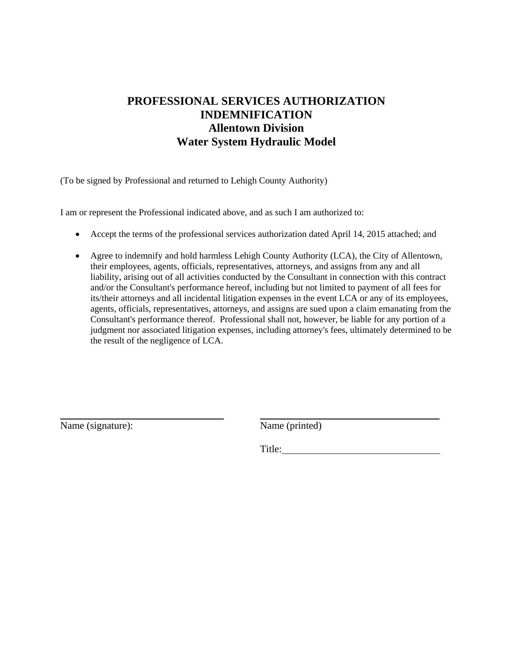# **PROFESSIONAL SERVICES AUTHORIZATION INDEMNIFICATION Allentown Division Water System Hydraulic Model**

(To be signed by Professional and returned to Lehigh County Authority)

I am or represent the Professional indicated above, and as such I am authorized to:

- Accept the terms of the professional services authorization dated April 14, 2015 attached; and
- Agree to indemnify and hold harmless Lehigh County Authority (LCA), the City of Allentown, their employees, agents, officials, representatives, attorneys, and assigns from any and all liability, arising out of all activities conducted by the Consultant in connection with this contract and/or the Consultant's performance hereof, including but not limited to payment of all fees for its/their attorneys and all incidental litigation expenses in the event LCA or any of its employees, agents, officials, representatives, attorneys, and assigns are sued upon a claim emanating from the Consultant's performance thereof. Professional shall not, however, be liable for any portion of a judgment nor associated litigation expenses, including attorney's fees, ultimately determined to be the result of the negligence of LCA.

Name (signature): Name (printed)

 $\overline{a}$ 

Title: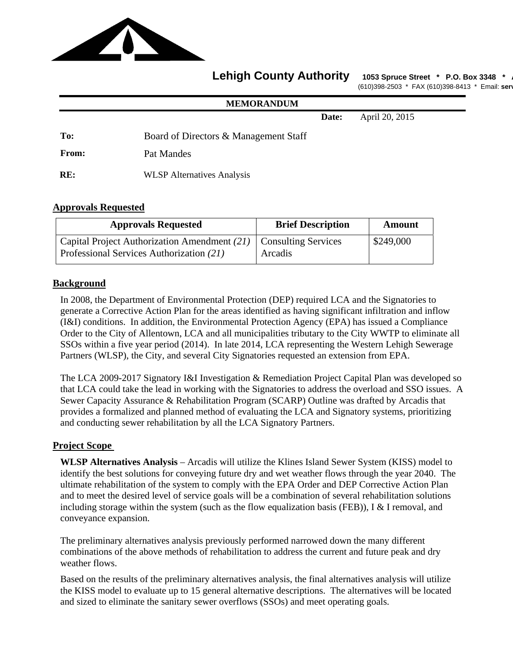

# **Lehigh County Authority** 1053 Spruce Street \* P.O. Box 3348 \*

(610)398-2503 \* FAX (610)398-8413 \* Email: **serv**

|              | <b>MEMORANDUM</b>                     |       |                |
|--------------|---------------------------------------|-------|----------------|
|              |                                       | Date: | April 20, 2015 |
| To:          | Board of Directors & Management Staff |       |                |
| <b>From:</b> | Pat Mandes                            |       |                |
| RE:          | <b>WLSP</b> Alternatives Analysis     |       |                |

# **Approvals Requested**

| <b>Approvals Requested</b>                                                                                       | <b>Brief Description</b> | Amount    |
|------------------------------------------------------------------------------------------------------------------|--------------------------|-----------|
| Capital Project Authorization Amendment $(21)$   Consulting Services<br>Professional Services Authorization (21) | Arcadis                  | \$249,000 |

# **Background**

In 2008, the Department of Environmental Protection (DEP) required LCA and the Signatories to generate a Corrective Action Plan for the areas identified as having significant infiltration and inflow (I&I) conditions. In addition, the Environmental Protection Agency (EPA) has issued a Compliance Order to the City of Allentown, LCA and all municipalities tributary to the City WWTP to eliminate all SSOs within a five year period (2014). In late 2014, LCA representing the Western Lehigh Sewerage Partners (WLSP), the City, and several City Signatories requested an extension from EPA.

The LCA 2009-2017 Signatory I&I Investigation & Remediation Project Capital Plan was developed so that LCA could take the lead in working with the Signatories to address the overload and SSO issues. A Sewer Capacity Assurance & Rehabilitation Program (SCARP) Outline was drafted by Arcadis that provides a formalized and planned method of evaluating the LCA and Signatory systems, prioritizing and conducting sewer rehabilitation by all the LCA Signatory Partners.

# **Project Scope**

**WLSP Alternatives Analysis** – Arcadis will utilize the Klines Island Sewer System (KISS) model to identify the best solutions for conveying future dry and wet weather flows through the year 2040. The ultimate rehabilitation of the system to comply with the EPA Order and DEP Corrective Action Plan and to meet the desired level of service goals will be a combination of several rehabilitation solutions including storage within the system (such as the flow equalization basis (FEB)), I & I removal, and conveyance expansion.

 The preliminary alternatives analysis previously performed narrowed down the many different combinations of the above methods of rehabilitation to address the current and future peak and dry weather flows.

 Based on the results of the preliminary alternatives analysis, the final alternatives analysis will utilize the KISS model to evaluate up to 15 general alternative descriptions. The alternatives will be located and sized to eliminate the sanitary sewer overflows (SSOs) and meet operating goals.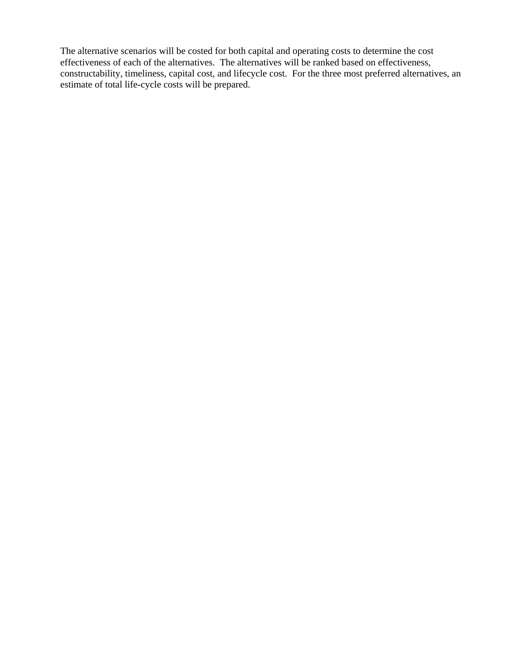The alternative scenarios will be costed for both capital and operating costs to determine the cost effectiveness of each of the alternatives. The alternatives will be ranked based on effectiveness, constructability, timeliness, capital cost, and lifecycle cost. For the three most preferred alternatives, an estimate of total life-cycle costs will be prepared.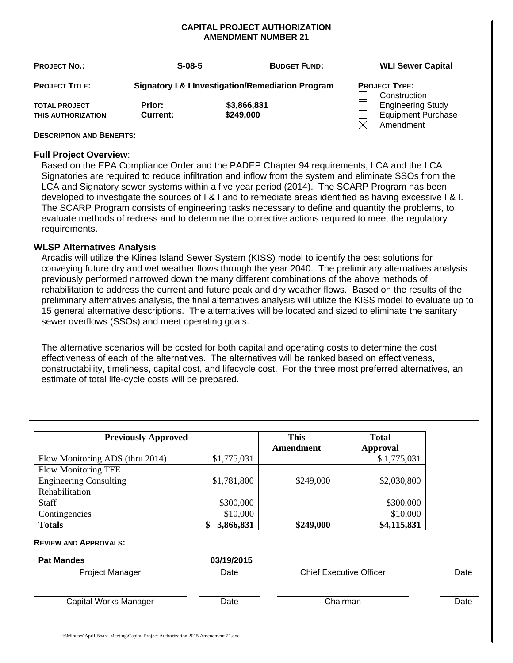#### **CAPITAL PROJECT AUTHORIZATION AMENDMENT NUMBER 21**

| <b>PROJECT NO.:</b>   | $S-08-5$        |             | <b>BUDGET FUND:</b>                               | <b>WLI Sewer Capital</b>  |  |
|-----------------------|-----------------|-------------|---------------------------------------------------|---------------------------|--|
| <b>PROJECT TITLE:</b> |                 |             | Signatory I & I Investigation/Remediation Program | <b>PROJECT TYPE:</b>      |  |
|                       |                 |             |                                                   | Construction              |  |
| <b>TOTAL PROJECT</b>  | Prior:          | \$3,866,831 |                                                   | <b>Engineering Study</b>  |  |
| THIS AUTHORIZATION    | <b>Current:</b> | \$249,000   |                                                   | <b>Equipment Purchase</b> |  |
|                       |                 |             |                                                   | Amendment                 |  |

#### **DESCRIPTION AND BENEFITS:**

#### **Full Project Overview**:

Based on the EPA Compliance Order and the PADEP Chapter 94 requirements, LCA and the LCA Signatories are required to reduce infiltration and inflow from the system and eliminate SSOs from the LCA and Signatory sewer systems within a five year period (2014). The SCARP Program has been developed to investigate the sources of I & I and to remediate areas identified as having excessive I & I. The SCARP Program consists of engineering tasks necessary to define and quantity the problems, to evaluate methods of redress and to determine the corrective actions required to meet the regulatory requirements.

#### **WLSP Alternatives Analysis**

Arcadis will utilize the Klines Island Sewer System (KISS) model to identify the best solutions for conveying future dry and wet weather flows through the year 2040. The preliminary alternatives analysis previously performed narrowed down the many different combinations of the above methods of rehabilitation to address the current and future peak and dry weather flows. Based on the results of the preliminary alternatives analysis, the final alternatives analysis will utilize the KISS model to evaluate up to 15 general alternative descriptions. The alternatives will be located and sized to eliminate the sanitary sewer overflows (SSOs) and meet operating goals.

The alternative scenarios will be costed for both capital and operating costs to determine the cost effectiveness of each of the alternatives. The alternatives will be ranked based on effectiveness, constructability, timeliness, capital cost, and lifecycle cost. For the three most preferred alternatives, an estimate of total life-cycle costs will be prepared.

| <b>Previously Approved</b>      |                 | <b>This</b><br>Amendment | <b>Total</b><br><b>Approval</b> |
|---------------------------------|-----------------|--------------------------|---------------------------------|
|                                 |                 |                          |                                 |
| Flow Monitoring ADS (thru 2014) | \$1,775,031     |                          | \$1,775,031                     |
| <b>Flow Monitoring TFE</b>      |                 |                          |                                 |
| <b>Engineering Consulting</b>   | \$1,781,800     | \$249,000                | \$2,030,800                     |
| Rehabilitation                  |                 |                          |                                 |
| Staff                           | \$300,000       |                          | \$300,000                       |
| Contingencies                   | \$10,000        |                          | \$10,000                        |
| <b>Totals</b>                   | 3,866,831<br>\$ | \$249,000                | \$4,115,831                     |

#### **REVIEW AND APPROVALS:**

| <b>Pat Mandes</b>     | 03/19/2015 |                                |      |
|-----------------------|------------|--------------------------------|------|
| Project Manager       | Date       | <b>Chief Executive Officer</b> | Date |
|                       |            |                                |      |
| Capital Works Manager | Date       | Chairman                       | Date |
|                       |            |                                |      |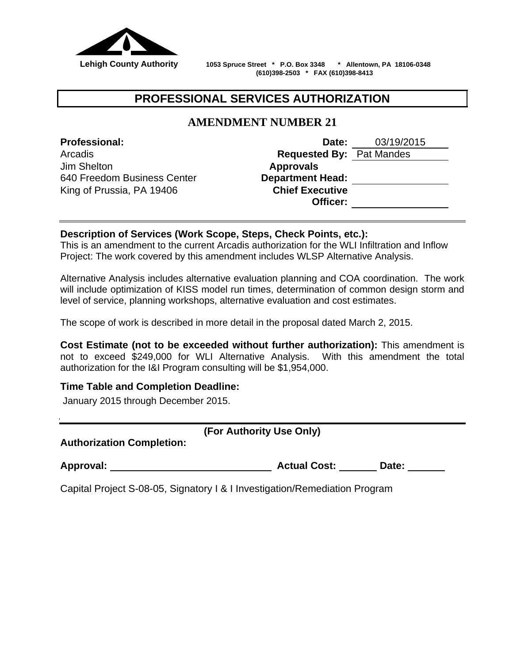

 **Lehigh County Authority 1053 Spruce Street \* P.O. Box 3348 \* Allentown, PA 18106-0348 (610)398-2503 \* FAX (610)398-8413**

# **PROFESSIONAL SERVICES AUTHORIZATION**

# **AMENDMENT NUMBER 21**

Jim Shelton **Approvals**  640 Freedom Business Center **Department Head:** King of Prussia, PA 19406 **Chief Executive** 

**Professional: Date:** 03/19/2015 Arcadis **Requested By:** Pat Mandes **Officer:**

# **Description of Services (Work Scope, Steps, Check Points, etc.):**

This is an amendment to the current Arcadis authorization for the WLI Infiltration and Inflow Project: The work covered by this amendment includes WLSP Alternative Analysis.

Alternative Analysis includes alternative evaluation planning and COA coordination. The work will include optimization of KISS model run times, determination of common design storm and level of service, planning workshops, alternative evaluation and cost estimates.

The scope of work is described in more detail in the proposal dated March 2, 2015.

**Cost Estimate (not to be exceeded without further authorization):** This amendment is not to exceed \$249,000 for WLI Alternative Analysis. With this amendment the total authorization for the I&I Program consulting will be \$1,954,000.

# **Time Table and Completion Deadline:**

January 2015 through December 2015.

**Authorization Completion:** 

| Approval: | <b>Actual Cost:</b> | Date: |
|-----------|---------------------|-------|
|-----------|---------------------|-------|

Capital Project S-08-05, Signatory I & I Investigation/Remediation Program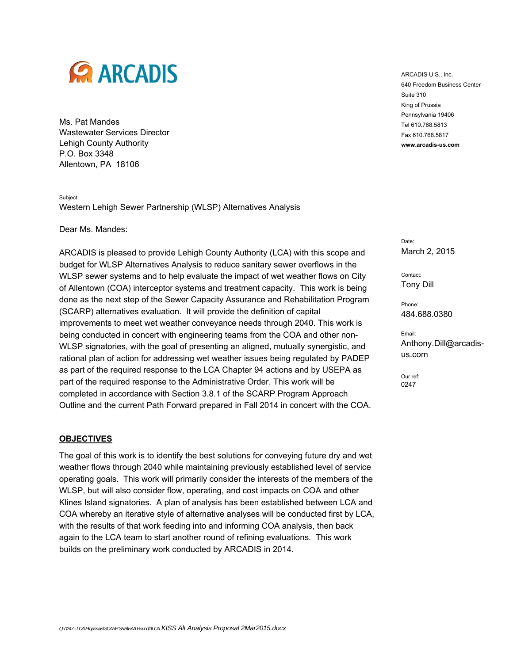

Ms. Pat Mandes Wastewater Services Director Lehigh County Authority P.O. Box 3348 Allentown, PA 18106

Subject: Western Lehigh Sewer Partnership (WLSP) Alternatives Analysis

Dear Ms. Mandes:

ARCADIS is pleased to provide Lehigh County Authority (LCA) with this scope and budget for WLSP Alternatives Analysis to reduce sanitary sewer overflows in the WLSP sewer systems and to help evaluate the impact of wet weather flows on City of Allentown (COA) interceptor systems and treatment capacity. This work is being done as the next step of the Sewer Capacity Assurance and Rehabilitation Program (SCARP) alternatives evaluation. It will provide the definition of capital improvements to meet wet weather conveyance needs through 2040. This work is being conducted in concert with engineering teams from the COA and other non-WLSP signatories, with the goal of presenting an aligned, mutually synergistic, and rational plan of action for addressing wet weather issues being regulated by PADEP as part of the required response to the LCA Chapter 94 actions and by USEPA as part of the required response to the Administrative Order. This work will be completed in accordance with Section 3.8.1 of the SCARP Program Approach Outline and the current Path Forward prepared in Fall 2014 in concert with the COA.

#### **OBJECTIVES**

The goal of this work is to identify the best solutions for conveying future dry and wet weather flows through 2040 while maintaining previously established level of service operating goals. This work will primarily consider the interests of the members of the WLSP, but will also consider flow, operating, and cost impacts on COA and other Klines Island signatories. A plan of analysis has been established between LCA and COA whereby an iterative style of alternative analyses will be conducted first by LCA, with the results of that work feeding into and informing COA analysis, then back again to the LCA team to start another round of refining evaluations. This work builds on the preliminary work conducted by ARCADIS in 2014.

ARCADIS U.S., Inc. 640 Freedom Business Center Suite 310 King of Prussia Pennsylvania 19406 Tel 610.768.5813 Fax 610.768.5817 **www.arcadis-us.com**

Date: March 2, 2015

Contact: Tony Dill

Phone: 484.688.0380

Email: Anthony.Dill@arcadisus.com

Our ref: 0247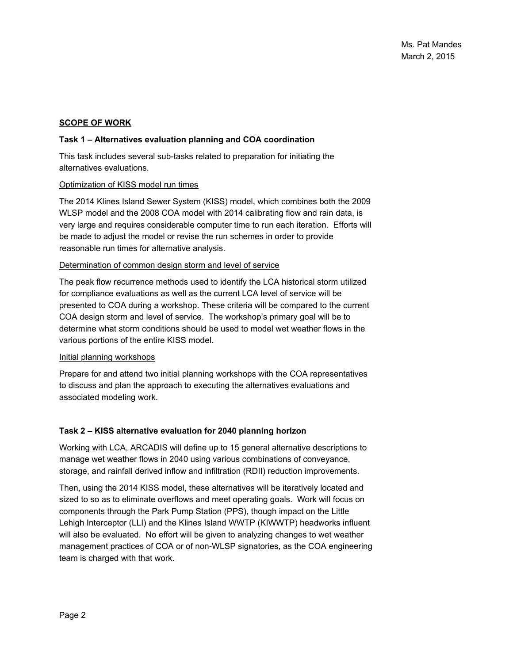#### **SCOPE OF WORK**

#### **Task 1 – Alternatives evaluation planning and COA coordination**

This task includes several sub-tasks related to preparation for initiating the alternatives evaluations.

#### Optimization of KISS model run times

The 2014 Klines Island Sewer System (KISS) model, which combines both the 2009 WLSP model and the 2008 COA model with 2014 calibrating flow and rain data, is very large and requires considerable computer time to run each iteration. Efforts will be made to adjust the model or revise the run schemes in order to provide reasonable run times for alternative analysis.

#### Determination of common design storm and level of service

The peak flow recurrence methods used to identify the LCA historical storm utilized for compliance evaluations as well as the current LCA level of service will be presented to COA during a workshop. These criteria will be compared to the current COA design storm and level of service. The workshop's primary goal will be to determine what storm conditions should be used to model wet weather flows in the various portions of the entire KISS model.

#### Initial planning workshops

Prepare for and attend two initial planning workshops with the COA representatives to discuss and plan the approach to executing the alternatives evaluations and associated modeling work.

#### **Task 2 – KISS alternative evaluation for 2040 planning horizon**

Working with LCA, ARCADIS will define up to 15 general alternative descriptions to manage wet weather flows in 2040 using various combinations of conveyance, storage, and rainfall derived inflow and infiltration (RDII) reduction improvements.

Then, using the 2014 KISS model, these alternatives will be iteratively located and sized to so as to eliminate overflows and meet operating goals. Work will focus on components through the Park Pump Station (PPS), though impact on the Little Lehigh Interceptor (LLI) and the Klines Island WWTP (KIWWTP) headworks influent will also be evaluated. No effort will be given to analyzing changes to wet weather management practices of COA or of non-WLSP signatories, as the COA engineering team is charged with that work.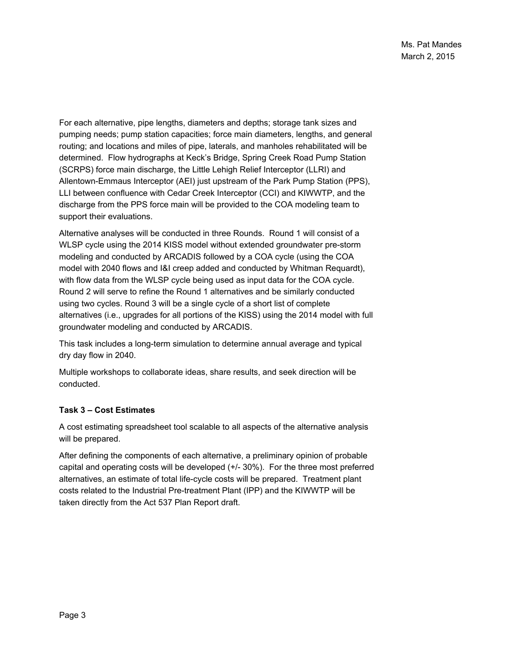For each alternative, pipe lengths, diameters and depths; storage tank sizes and pumping needs; pump station capacities; force main diameters, lengths, and general routing; and locations and miles of pipe, laterals, and manholes rehabilitated will be determined. Flow hydrographs at Keck's Bridge, Spring Creek Road Pump Station (SCRPS) force main discharge, the Little Lehigh Relief Interceptor (LLRI) and Allentown-Emmaus Interceptor (AEI) just upstream of the Park Pump Station (PPS), LLI between confluence with Cedar Creek Interceptor (CCI) and KIWWTP, and the discharge from the PPS force main will be provided to the COA modeling team to support their evaluations.

Alternative analyses will be conducted in three Rounds. Round 1 will consist of a WLSP cycle using the 2014 KISS model without extended groundwater pre-storm modeling and conducted by ARCADIS followed by a COA cycle (using the COA model with 2040 flows and I&I creep added and conducted by Whitman Requardt), with flow data from the WLSP cycle being used as input data for the COA cycle. Round 2 will serve to refine the Round 1 alternatives and be similarly conducted using two cycles. Round 3 will be a single cycle of a short list of complete alternatives (i.e., upgrades for all portions of the KISS) using the 2014 model with full groundwater modeling and conducted by ARCADIS.

This task includes a long-term simulation to determine annual average and typical dry day flow in 2040.

Multiple workshops to collaborate ideas, share results, and seek direction will be conducted.

# **Task 3 – Cost Estimates**

A cost estimating spreadsheet tool scalable to all aspects of the alternative analysis will be prepared.

After defining the components of each alternative, a preliminary opinion of probable capital and operating costs will be developed (+/- 30%). For the three most preferred alternatives, an estimate of total life-cycle costs will be prepared. Treatment plant costs related to the Industrial Pre-treatment Plant (IPP) and the KIWWTP will be taken directly from the Act 537 Plan Report draft.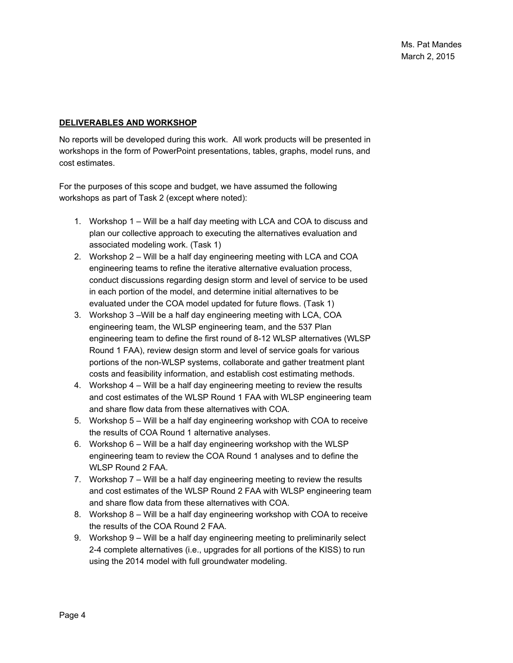#### **DELIVERABLES AND WORKSHOP**

No reports will be developed during this work. All work products will be presented in workshops in the form of PowerPoint presentations, tables, graphs, model runs, and cost estimates.

For the purposes of this scope and budget, we have assumed the following workshops as part of Task 2 (except where noted):

- 1. Workshop 1 Will be a half day meeting with LCA and COA to discuss and plan our collective approach to executing the alternatives evaluation and associated modeling work. (Task 1)
- 2. Workshop 2 Will be a half day engineering meeting with LCA and COA engineering teams to refine the iterative alternative evaluation process, conduct discussions regarding design storm and level of service to be used in each portion of the model, and determine initial alternatives to be evaluated under the COA model updated for future flows. (Task 1)
- 3. Workshop 3 –Will be a half day engineering meeting with LCA, COA engineering team, the WLSP engineering team, and the 537 Plan engineering team to define the first round of 8-12 WLSP alternatives (WLSP Round 1 FAA), review design storm and level of service goals for various portions of the non-WLSP systems, collaborate and gather treatment plant costs and feasibility information, and establish cost estimating methods.
- 4. Workshop 4 Will be a half day engineering meeting to review the results and cost estimates of the WLSP Round 1 FAA with WLSP engineering team and share flow data from these alternatives with COA.
- 5. Workshop 5 Will be a half day engineering workshop with COA to receive the results of COA Round 1 alternative analyses.
- 6. Workshop 6 Will be a half day engineering workshop with the WLSP engineering team to review the COA Round 1 analyses and to define the WLSP Round 2 FAA.
- 7. Workshop 7 Will be a half day engineering meeting to review the results and cost estimates of the WLSP Round 2 FAA with WLSP engineering team and share flow data from these alternatives with COA.
- 8. Workshop 8 Will be a half day engineering workshop with COA to receive the results of the COA Round 2 FAA.
- 9. Workshop 9 Will be a half day engineering meeting to preliminarily select 2-4 complete alternatives (i.e., upgrades for all portions of the KISS) to run using the 2014 model with full groundwater modeling.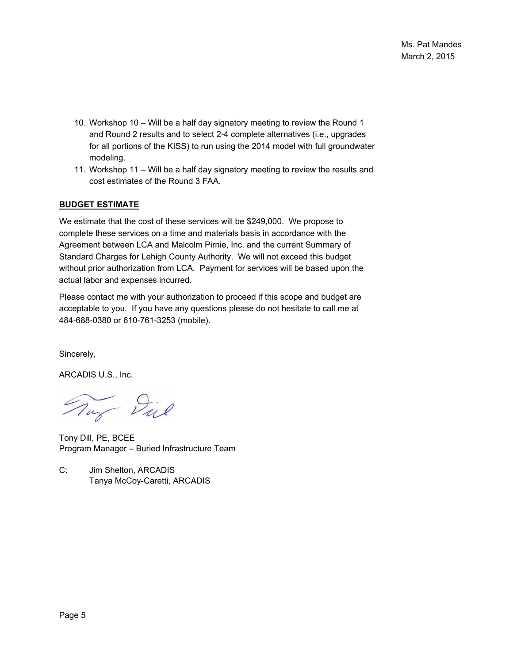- 10. Workshop 10 Will be a half day signatory meeting to review the Round 1 and Round 2 results and to select 2-4 complete alternatives (i.e., upgrades for all portions of the KISS) to run using the 2014 model with full groundwater modeling.
- 11. Workshop 11 Will be a half day signatory meeting to review the results and cost estimates of the Round 3 FAA.

#### **BUDGET ESTIMATE**

We estimate that the cost of these services will be \$249,000. We propose to complete these services on a time and materials basis in accordance with the Agreement between LCA and Malcolm Pirnie, Inc. and the current Summary of Standard Charges for Lehigh County Authority. We will not exceed this budget without prior authorization from LCA. Payment for services will be based upon the actual labor and expenses incurred.

Please contact me with your authorization to proceed if this scope and budget are acceptable to you. If you have any questions please do not hesitate to call me at 484-688-0380 or 610-761-3253 (mobile).

Sincerely,

ARCADIS U.S., Inc.

Tay Diel

Tony Dill, PE, BCEE Program Manager – Buried Infrastructure Team

C: Jim Shelton, ARCADIS Tanya McCoy-Caretti, ARCADIS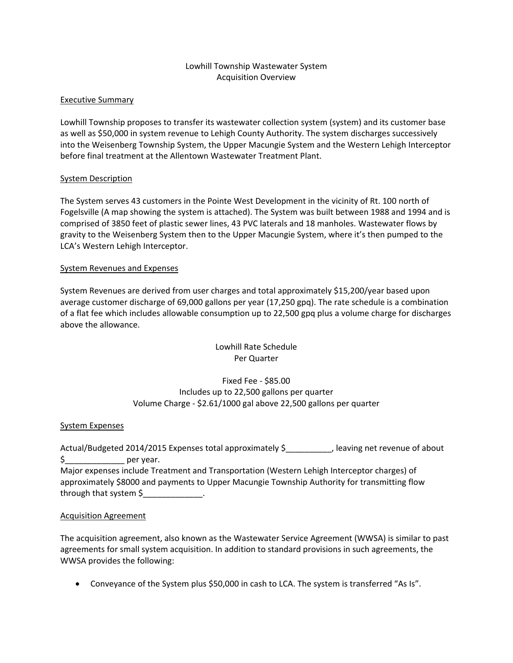#### Lowhill Township Wastewater System Acquisition Overview

#### Executive Summary

Lowhill Township proposes to transfer its wastewater collection system (system) and its customer base as well as \$50,000 in system revenue to Lehigh County Authority. The system discharges successively into the Weisenberg Township System, the Upper Macungie System and the Western Lehigh Interceptor before final treatment at the Allentown Wastewater Treatment Plant.

#### System Description

The System serves 43 customers in the Pointe West Development in the vicinity of Rt. 100 north of Fogelsville (A map showing the system is attached). The System was built between 1988 and 1994 and is comprised of 3850 feet of plastic sewer lines, 43 PVC laterals and 18 manholes. Wastewater flows by gravity to the Weisenberg System then to the Upper Macungie System, where it's then pumped to the LCA's Western Lehigh Interceptor.

#### System Revenues and Expenses

System Revenues are derived from user charges and total approximately \$15,200/year based upon average customer discharge of 69,000 gallons per year (17,250 gpq). The rate schedule is a combination of a flat fee which includes allowable consumption up to 22,500 gpq plus a volume charge for discharges above the allowance.

#### Lowhill Rate Schedule Per Quarter

### Fixed Fee ‐ \$85.00 Includes up to 22,500 gallons per quarter Volume Charge ‐ \$2.61/1000 gal above 22,500 gallons per quarter

#### System Expenses

Actual/Budgeted 2014/2015 Expenses total approximately \$\_\_\_\_\_\_\_\_\_\_, leaving net revenue of about \$\_\_\_\_\_\_\_\_\_\_\_\_\_\_\_\_\_\_ per year. Major expenses include Treatment and Transportation (Western Lehigh Interceptor charges) of approximately \$8000 and payments to Upper Macungie Township Authority for transmitting flow through that system \$

#### Acquisition Agreement

The acquisition agreement, also known as the Wastewater Service Agreement (WWSA) is similar to past agreements for small system acquisition. In addition to standard provisions in such agreements, the WWSA provides the following:

Conveyance of the System plus \$50,000 in cash to LCA. The system is transferred "As Is".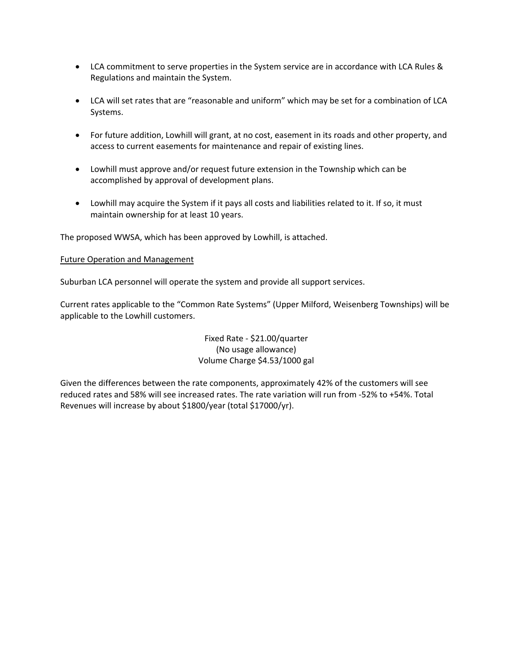- LCA commitment to serve properties in the System service are in accordance with LCA Rules & Regulations and maintain the System.
- LCA will set rates that are "reasonable and uniform" which may be set for a combination of LCA Systems.
- For future addition, Lowhill will grant, at no cost, easement in its roads and other property, and access to current easements for maintenance and repair of existing lines.
- Lowhill must approve and/or request future extension in the Township which can be accomplished by approval of development plans.
- Lowhill may acquire the System if it pays all costs and liabilities related to it. If so, it must maintain ownership for at least 10 years.

The proposed WWSA, which has been approved by Lowhill, is attached.

#### Future Operation and Management

Suburban LCA personnel will operate the system and provide all support services.

Current rates applicable to the "Common Rate Systems" (Upper Milford, Weisenberg Townships) will be applicable to the Lowhill customers.

### Fixed Rate ‐ \$21.00/quarter (No usage allowance) Volume Charge \$4.53/1000 gal

Given the differences between the rate components, approximately 42% of the customers will see reduced rates and 58% will see increased rates. The rate variation will run from ‐52% to +54%. Total Revenues will increase by about \$1800/year (total \$17000/yr).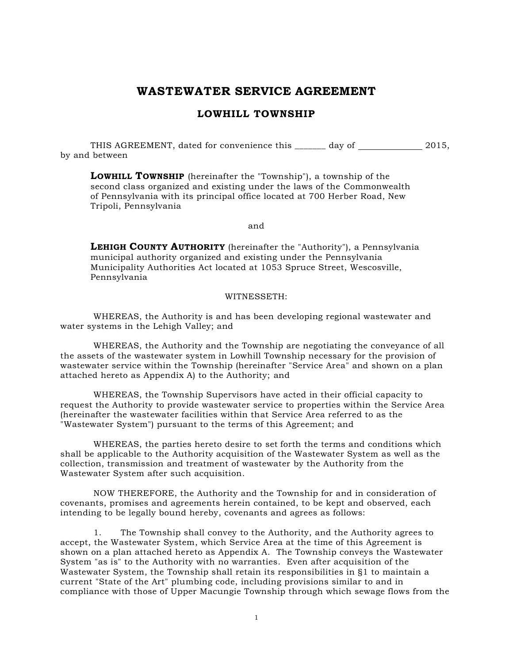# **WASTEWATER SERVICE AGREEMENT**

#### **LOWHILL TOWNSHIP**

THIS AGREEMENT, dated for convenience this \_\_\_\_\_\_\_\_ day of \_\_\_\_\_\_\_\_\_\_\_\_\_ 2015, by and between

**LOWHILL TOWNSHIP** (hereinafter the "Township"), a township of the second class organized and existing under the laws of the Commonwealth of Pennsylvania with its principal office located at 700 Herber Road, New Tripoli, Pennsylvania

and

**LEHIGH COUNTY AUTHORITY** (hereinafter the "Authority"), a Pennsylvania municipal authority organized and existing under the Pennsylvania Municipality Authorities Act located at 1053 Spruce Street, Wescosville, Pennsylvania

#### WITNESSETH:

WHEREAS, the Authority is and has been developing regional wastewater and water systems in the Lehigh Valley; and

WHEREAS, the Authority and the Township are negotiating the conveyance of all the assets of the wastewater system in Lowhill Township necessary for the provision of wastewater service within the Township (hereinafter "Service Area" and shown on a plan attached hereto as Appendix A) to the Authority; and

WHEREAS, the Township Supervisors have acted in their official capacity to request the Authority to provide wastewater service to properties within the Service Area (hereinafter the wastewater facilities within that Service Area referred to as the "Wastewater System") pursuant to the terms of this Agreement; and

WHEREAS, the parties hereto desire to set forth the terms and conditions which shall be applicable to the Authority acquisition of the Wastewater System as well as the collection, transmission and treatment of wastewater by the Authority from the Wastewater System after such acquisition.

NOW THEREFORE, the Authority and the Township for and in consideration of covenants, promises and agreements herein contained, to be kept and observed, each intending to be legally bound hereby, covenants and agrees as follows:

1. The Township shall convey to the Authority, and the Authority agrees to accept, the Wastewater System, which Service Area at the time of this Agreement is shown on a plan attached hereto as Appendix A. The Township conveys the Wastewater System "as is" to the Authority with no warranties. Even after acquisition of the Wastewater System, the Township shall retain its responsibilities in §1 to maintain a current "State of the Art" plumbing code, including provisions similar to and in compliance with those of Upper Macungie Township through which sewage flows from the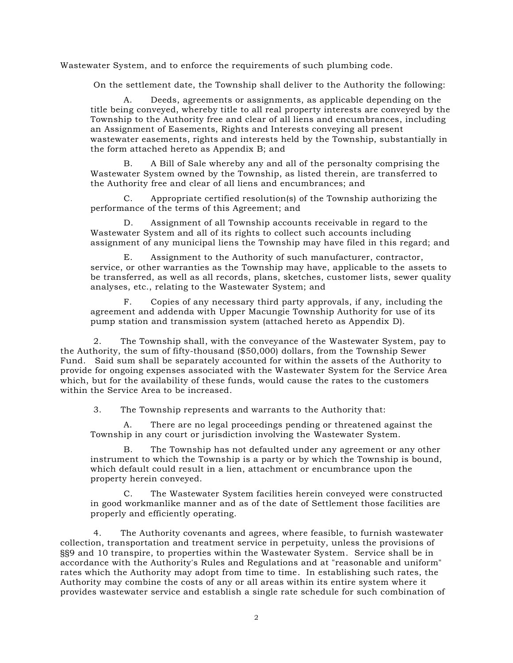Wastewater System, and to enforce the requirements of such plumbing code.

On the settlement date, the Township shall deliver to the Authority the following:

Deeds, agreements or assignments, as applicable depending on the title being conveyed, whereby title to all real property interests are conveyed by the Township to the Authority free and clear of all liens and encumbrances, including an Assignment of Easements, Rights and Interests conveying all present wastewater easements, rights and interests held by the Township, substantially in the form attached hereto as Appendix B; and

B. A Bill of Sale whereby any and all of the personalty comprising the Wastewater System owned by the Township, as listed therein, are transferred to the Authority free and clear of all liens and encumbrances; and

C. Appropriate certified resolution(s) of the Township authorizing the performance of the terms of this Agreement; and

D. Assignment of all Township accounts receivable in regard to the Wastewater System and all of its rights to collect such accounts including assignment of any municipal liens the Township may have filed in this regard; and

E. Assignment to the Authority of such manufacturer, contractor, service, or other warranties as the Township may have, applicable to the assets to be transferred, as well as all records, plans, sketches, customer lists, sewer quality analyses, etc., relating to the Wastewater System; and

F. Copies of any necessary third party approvals, if any, including the agreement and addenda with Upper Macungie Township Authority for use of its pump station and transmission system (attached hereto as Appendix D).

2. The Township shall, with the conveyance of the Wastewater System, pay to the Authority, the sum of fifty-thousand (\$50,000) dollars, from the Township Sewer Fund. Said sum shall be separately accounted for within the assets of the Authority to provide for ongoing expenses associated with the Wastewater System for the Service Area which, but for the availability of these funds, would cause the rates to the customers within the Service Area to be increased.

3. The Township represents and warrants to the Authority that:

A. There are no legal proceedings pending or threatened against the Township in any court or jurisdiction involving the Wastewater System.

The Township has not defaulted under any agreement or any other instrument to which the Township is a party or by which the Township is bound, which default could result in a lien, attachment or encumbrance upon the property herein conveyed.

C. The Wastewater System facilities herein conveyed were constructed in good workmanlike manner and as of the date of Settlement those facilities are properly and efficiently operating.

4. The Authority covenants and agrees, where feasible, to furnish wastewater collection, transportation and treatment service in perpetuity, unless the provisions of §§9 and 10 transpire, to properties within the Wastewater System. Service shall be in accordance with the Authority's Rules and Regulations and at "reasonable and uniform" rates which the Authority may adopt from time to time. In establishing such rates, the Authority may combine the costs of any or all areas within its entire system where it provides wastewater service and establish a single rate schedule for such combination of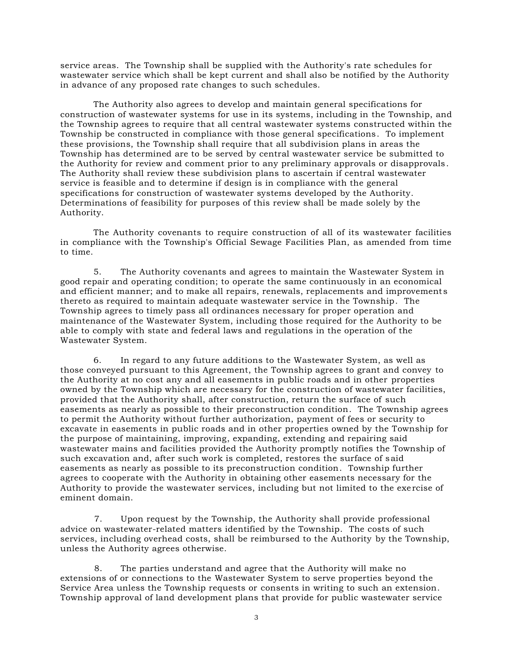service areas. The Township shall be supplied with the Authority's rate schedules for wastewater service which shall be kept current and shall also be notified by the Authority in advance of any proposed rate changes to such schedules.

The Authority also agrees to develop and maintain general specifications for construction of wastewater systems for use in its systems, including in the Township, and the Township agrees to require that all central wastewater systems constructed within the Township be constructed in compliance with those general specifications. To implement these provisions, the Township shall require that all subdivision plans in areas the Township has determined are to be served by central wastewater service be submitted to the Authority for review and comment prior to any preliminary approvals or disapprovals. The Authority shall review these subdivision plans to ascertain if central wastewater service is feasible and to determine if design is in compliance with the general specifications for construction of wastewater systems developed by the Authority. Determinations of feasibility for purposes of this review shall be made solely by the Authority.

The Authority covenants to require construction of all of its wastewater facilities in compliance with the Township's Official Sewage Facilities Plan, as amended from time to time.

5. The Authority covenants and agrees to maintain the Wastewater System in good repair and operating condition; to operate the same continuously in an economical and efficient manner; and to make all repairs, renewals, replacements and improvement s thereto as required to maintain adequate wastewater service in the Township. The Township agrees to timely pass all ordinances necessary for proper operation and maintenance of the Wastewater System, including those required for the Authority to be able to comply with state and federal laws and regulations in the operation of the Wastewater System.

6. In regard to any future additions to the Wastewater System, as well as those conveyed pursuant to this Agreement, the Township agrees to grant and convey to the Authority at no cost any and all easements in public roads and in other properties owned by the Township which are necessary for the construction of wastewater facilities, provided that the Authority shall, after construction, return the surface of such easements as nearly as possible to their preconstruction condition. The Township agrees to permit the Authority without further authorization, payment of fees or security to excavate in easements in public roads and in other properties owned by the Township for the purpose of maintaining, improving, expanding, extending and repairing said wastewater mains and facilities provided the Authority promptly notifies the Township of such excavation and, after such work is completed, restores the surface of said easements as nearly as possible to its preconstruction condition. Township further agrees to cooperate with the Authority in obtaining other easements necessary for the Authority to provide the wastewater services, including but not limited to the exe rcise of eminent domain.

7. Upon request by the Township, the Authority shall provide professional advice on wastewater-related matters identified by the Township. The costs of such services, including overhead costs, shall be reimbursed to the Authority by the Township, unless the Authority agrees otherwise.

8. The parties understand and agree that the Authority will make no extensions of or connections to the Wastewater System to serve properties beyond the Service Area unless the Township requests or consents in writing to such an extension. Township approval of land development plans that provide for public wastewater service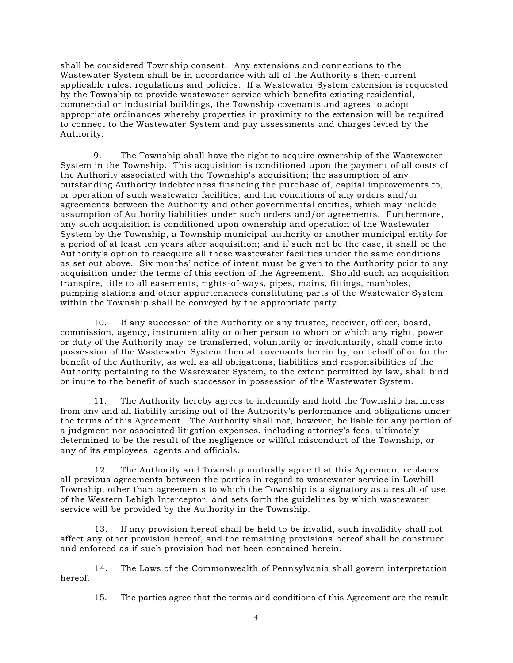shall be considered Township consent. Any extensions and connections to the Wastewater System shall be in accordance with all of the Authority's then-current applicable rules, regulations and policies. If a Wastewater System extension is requested by the Township to provide wastewater service which benefits existing residential, commercial or industrial buildings, the Township covenants and agrees to adopt appropriate ordinances whereby properties in proximity to the extension will be required to connect to the Wastewater System and pay assessments and charges levied by the Authority.

9. The Township shall have the right to acquire ownership of the Wastewater System in the Township. This acquisition is conditioned upon the payment of all costs of the Authority associated with the Township's acquisition; the assumption of any outstanding Authority indebtedness financing the purchase of, capital improvements to, or operation of such wastewater facilities; and the conditions of any orders and/or agreements between the Authority and other governmental entities, which may include assumption of Authority liabilities under such orders and/or agreements. Furthermore, any such acquisition is conditioned upon ownership and operation of the Wastewater System by the Township, a Township municipal authority or another municipal entity for a period of at least ten years after acquisition; and if such not be the case, it shall be the Authority's option to reacquire all these wastewater facilities under the same conditions as set out above. Six months' notice of intent must be given to the Authority prior to any acquisition under the terms of this section of the Agreement. Should such an acquisition transpire, title to all easements, rights-of-ways, pipes, mains, fittings, manholes, pumping stations and other appurtenances constituting parts of the Wastewater System within the Township shall be conveyed by the appropriate party.

10. If any successor of the Authority or any trustee, receiver, officer, board, commission, agency, instrumentality or other person to whom or which any right, power or duty of the Authority may be transferred, voluntarily or involuntarily, shall come into possession of the Wastewater System then all covenants herein by, on behalf of or for the benefit of the Authority, as well as all obligations, liabilities and responsibilities of the Authority pertaining to the Wastewater System, to the extent permitted by law, shall bind or inure to the benefit of such successor in possession of the Wastewater System.

11. The Authority hereby agrees to indemnify and hold the Township harmless from any and all liability arising out of the Authority's performance and obligations under the terms of this Agreement. The Authority shall not, however, be liable for any portion of a judgment nor associated litigation expenses, including attorney's fees, ultimately determined to be the result of the negligence or willful misconduct of the Township, or any of its employees, agents and officials.

12. The Authority and Township mutually agree that this Agreement replaces all previous agreements between the parties in regard to wastewater service in Lowhill Township, other than agreements to which the Township is a signatory as a result of use of the Western Lehigh Interceptor, and sets forth the guidelines by which wastewater service will be provided by the Authority in the Township.

13. If any provision hereof shall be held to be invalid, such invalidity shall not affect any other provision hereof, and the remaining provisions hereof shall be construed and enforced as if such provision had not been contained herein.

14. The Laws of the Commonwealth of Pennsylvania shall govern interpretation hereof.

15. The parties agree that the terms and conditions of this Agreement are the result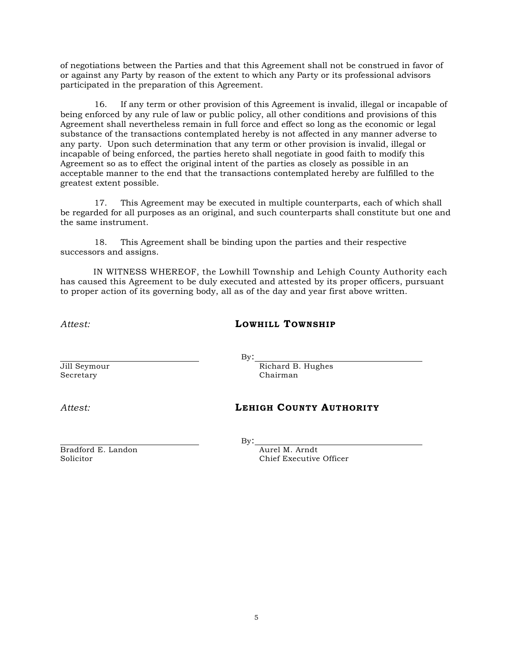of negotiations between the Parties and that this Agreement shall not be construed in favor of or against any Party by reason of the extent to which any Party or its professional advisors participated in the preparation of this Agreement.

16. If any term or other provision of this Agreement is invalid, illegal or incapable of being enforced by any rule of law or public policy, all other conditions and provisions of this Agreement shall nevertheless remain in full force and effect so long as the economic or legal substance of the transactions contemplated hereby is not affected in any manner adverse to any party. Upon such determination that any term or other provision is invalid, illegal or incapable of being enforced, the parties hereto shall negotiate in good faith to modify this Agreement so as to effect the original intent of the parties as closely as possible in an acceptable manner to the end that the transactions contemplated hereby are fulfilled to the greatest extent possible.

17. This Agreement may be executed in multiple counterparts, each of which shall be regarded for all purposes as an original, and such counterparts shall constitute but one and the same instrument.

18. This Agreement shall be binding upon the parties and their respective successors and assigns.

IN WITNESS WHEREOF, the Lowhill Township and Lehigh County Authority each has caused this Agreement to be duly executed and attested by its proper officers, pursuant to proper action of its governing body, all as of the day and year first above written.

*Attest:* **LOWHILL TOWNSHIP**

Jill Seymour Richard B. Hughes Secretary Chairman

# *Attest:* **LEHIGH COUNTY AUTHORITY**

By:

By:

Solicitor Chief Executive Officer

Bradford E. Landon Aurel M. Arndt

5